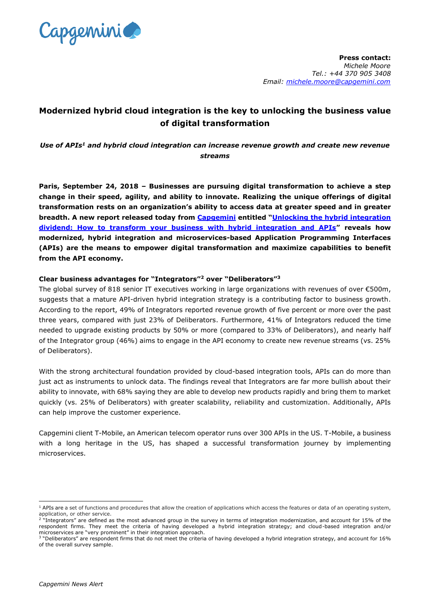

# **Modernized hybrid cloud integration is the key to unlocking the business value of digital transformation**

*Use of APIs<sup>1</sup> and hybrid cloud integration can increase revenue growth and create new revenue streams* 

**Paris, September 24, 2018 – Businesses are pursuing digital transformation to achieve a step change in their speed, agility, and ability to innovate. Realizing the unique offerings of digital transformation rests on an organization's ability to access data at greater speed and in greater breadth. A new report released today from [Capgemini](https://www.capgemini.com/) entitled "[Unlocking the hybrid integration](https://www.capgemini.com/service/unlocking-the-hybrid-integration-dividend?utm_source=pr&utm_medium=referral&utm_content=cloud_none_link_pressrelease_none&utm_campaign=journeycloud_cloud_api)  [dividend: How to transform your business with hybrid integration and APIs](https://www.capgemini.com/service/unlocking-the-hybrid-integration-dividend?utm_source=pr&utm_medium=referral&utm_content=cloud_none_link_pressrelease_none&utm_campaign=journeycloud_cloud_api)" reveals how modernized, hybrid integration and microservices-based Application Programming Interfaces (APIs) are the means to empower digital transformation and maximize capabilities to benefit from the API economy.**

### **Clear business advantages for "Integrators"<sup>2</sup> over "Deliberators"<sup>3</sup>**

The global survey of 818 senior IT executives working in large organizations with revenues of over  $\epsilon$ 500m, suggests that a mature API-driven hybrid integration strategy is a contributing factor to business growth. According to the report, 49% of Integrators reported revenue growth of five percent or more over the past three years, compared with just 23% of Deliberators. Furthermore, 41% of Integrators reduced the time needed to upgrade existing products by 50% or more (compared to 33% of Deliberators), and nearly half of the Integrator group (46%) aims to engage in the API economy to create new revenue streams (vs. 25% of Deliberators).

With the strong architectural foundation provided by cloud-based integration tools, APIs can do more than just act as instruments to unlock data. The findings reveal that Integrators are far more bullish about their ability to innovate, with 68% saying they are able to develop new products rapidly and bring them to market quickly (vs. 25% of Deliberators) with greater scalability, reliability and customization. Additionally, APIs can help improve the customer experience.

Capgemini client T-Mobile, an American telecom operator runs over 300 APIs in the US. T-Mobile, a business with a long heritage in the US, has shaped a successful transformation journey by implementing microservices.

-

<sup>&</sup>lt;sup>1</sup> APIs are a set of functions and procedures that allow the creation of applications which access the features or data of an operating system, application, or other service.<br><sup>2</sup> "Integrators" are defined as the most advanced group in the survey in terms of integration modernization, and account for 15% of the

respondent firms. They meet the criteria of having developed a hybrid integration strategy; and cloud-based integration and/or microservices are "very prominent" in their integration approach.<br><sup>3</sup> "Deliberators" are respondent firms that do not meet the criteria of having developed a hybrid integration strategy, and account for 16%

of the overall survey sample.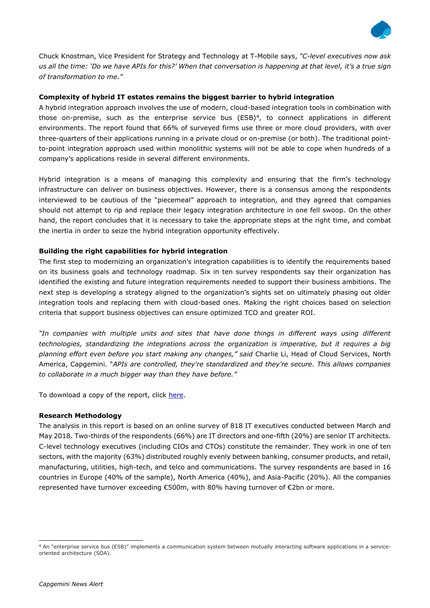

Chuck Knostman, Vice President for Strategy and Technology at T-Mobile says, *"C-level executives now ask us all the time: 'Do we have APIs for this?' When that conversation is happening at that level, it's a true sign of transformation to me."*

## **Complexity of hybrid IT estates remains the biggest barrier to hybrid integration**

A hybrid integration approach involves the use of modern, cloud-based integration tools in combination with those on-premise, such as the enterprise service bus (ESB)<sup>4</sup>, to connect applications in different environments. The report found that 66% of surveyed firms use three or more cloud providers, with over three-quarters of their applications running in a private cloud or on-premise (or both). The traditional pointto-point integration approach used within monolithic systems will not be able to cope when hundreds of a company's applications reside in several different environments.

Hybrid integration is a means of managing this complexity and ensuring that the firm's technology infrastructure can deliver on business objectives. However, there is a consensus among the respondents interviewed to be cautious of the "piecemeal" approach to integration, and they agreed that companies should not attempt to rip and replace their legacy integration architecture in one fell swoop. On the other hand, the report concludes that it is necessary to take the appropriate steps at the right time, and combat the inertia in order to seize the hybrid integration opportunity effectively.

### **Building the right capabilities for hybrid integration**

The first step to modernizing an organization's integration capabilities is to identify the requirements based on its business goals and technology roadmap. Six in ten survey respondents say their organization has identified the existing and future integration requirements needed to support their business ambitions. The next step is developing a strategy aligned to the organization's sights set on ultimately phasing out older integration tools and replacing them with cloud-based ones. Making the right choices based on selection criteria that support business objectives can ensure optimized TCO and greater ROI.

*"In companies with multiple units and sites that have done things in different ways using different technologies, standardizing the integrations across the organization is imperative, but it requires a big planning effort even before you start making any changes," said* Charlie Li, Head of Cloud Services, North America, Capgemini. "*APIs are controlled, they're standardized and they're secure. This allows companies to collaborate in a much bigger way than they have before."*

To download a copy of the report, click [here.](https://www.capgemini.com/service/unlocking-the-hybrid-integration-dividend?utm_source=pr&utm_medium=referral&utm_content=cloud_none_link_pressrelease_none&utm_campaign=journeycloud_cloud_api)

#### **Research Methodology**

The analysis in this report is based on an online survey of 818 IT executives conducted between March and May 2018. Two-thirds of the respondents (66%) are IT directors and one-fifth (20%) are senior IT architects. C-level technology executives (including CIOs and CTOs) constitute the remainder. They work in one of ten sectors, with the majority (63%) distributed roughly evenly between banking, consumer products, and retail, manufacturing, utilities, high-tech, and telco and communications. The survey respondents are based in 16 countries in Europe (40% of the sample), North America (40%), and Asia-Pacific (20%). All the companies represented have turnover exceeding €500m, with 80% having turnover of €2bn or more.

-

<sup>4</sup> An "enterprise service bus (ESB)" implements a communication system between mutually interacting software applications in a serviceoriented architecture (SOA).